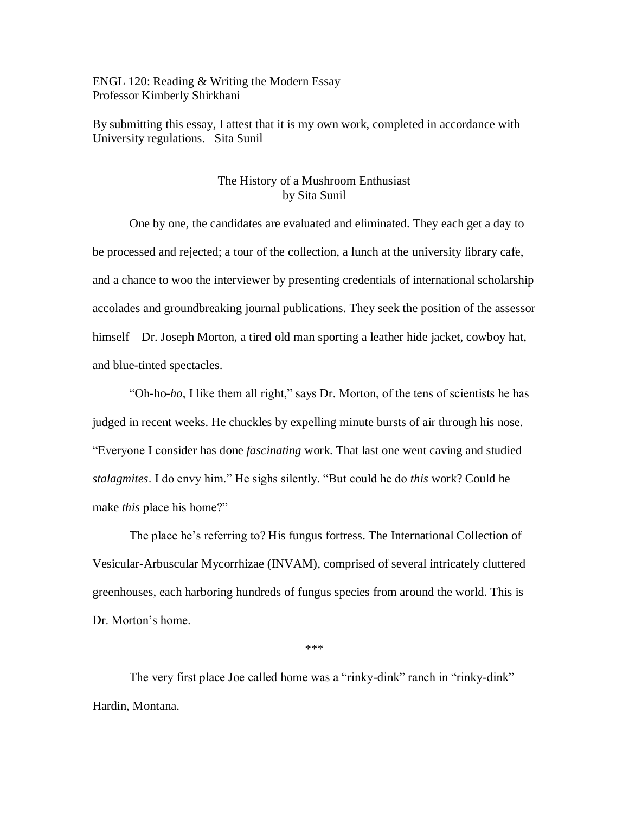ENGL 120: Reading & Writing the Modern Essay Professor Kimberly Shirkhani

By submitting this essay, I attest that it is my own work, completed in accordance with University regulations. –Sita Sunil

## The History of a Mushroom Enthusiast by Sita Sunil

One by one, the candidates are evaluated and eliminated. They each get a day to be processed and rejected; a tour of the collection, a lunch at the university library cafe, and a chance to woo the interviewer by presenting credentials of international scholarship accolades and groundbreaking journal publications. They seek the position of the assessor himself—Dr. Joseph Morton, a tired old man sporting a leather hide jacket, cowboy hat, and blue-tinted spectacles.

"Oh-ho-*ho*, I like them all right," says Dr. Morton, of the tens of scientists he has judged in recent weeks. He chuckles by expelling minute bursts of air through his nose. "Everyone I consider has done *fascinating* work. That last one went caving and studied *stalagmites*. I do envy him." He sighs silently. "But could he do *this* work? Could he make *this* place his home?"

The place he's referring to? His fungus fortress. The International Collection of Vesicular-Arbuscular Mycorrhizae (INVAM), comprised of several intricately cluttered greenhouses, each harboring hundreds of fungus species from around the world. This is Dr. Morton's home.

\*\*\*

The very first place Joe called home was a "rinky-dink" ranch in "rinky-dink" Hardin, Montana.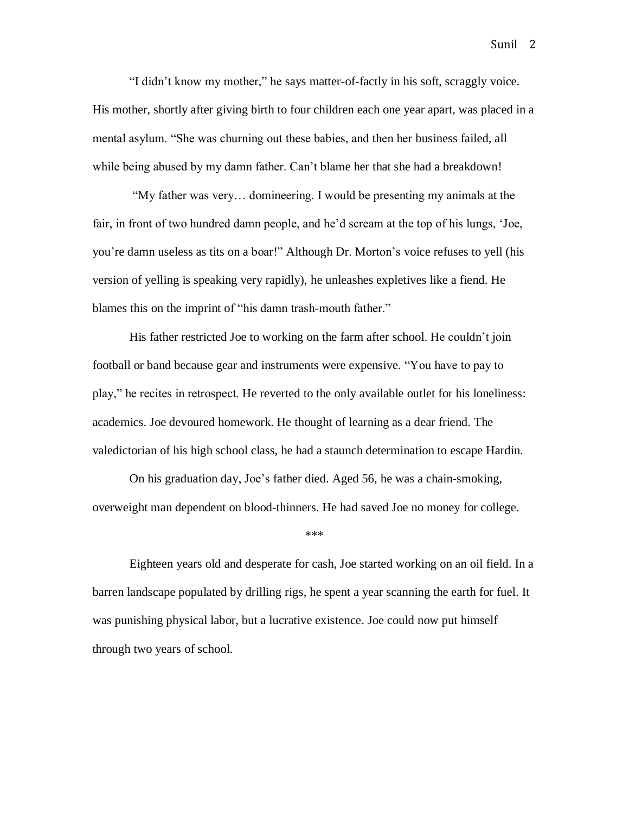"I didn't know my mother," he says matter-of-factly in his soft, scraggly voice. His mother, shortly after giving birth to four children each one year apart, was placed in a mental asylum. "She was churning out these babies, and then her business failed, all while being abused by my damn father. Can't blame her that she had a breakdown!

"My father was very… domineering. I would be presenting my animals at the fair, in front of two hundred damn people, and he'd scream at the top of his lungs, 'Joe, you're damn useless as tits on a boar!" Although Dr. Morton's voice refuses to yell (his version of yelling is speaking very rapidly), he unleashes expletives like a fiend. He blames this on the imprint of "his damn trash-mouth father."

His father restricted Joe to working on the farm after school. He couldn't join football or band because gear and instruments were expensive. "You have to pay to play," he recites in retrospect. He reverted to the only available outlet for his loneliness: academics. Joe devoured homework. He thought of learning as a dear friend. The valedictorian of his high school class, he had a staunch determination to escape Hardin.

On his graduation day, Joe's father died. Aged 56, he was a chain-smoking, overweight man dependent on blood-thinners. He had saved Joe no money for college.

## \*\*\*

Eighteen years old and desperate for cash, Joe started working on an oil field. In a barren landscape populated by drilling rigs, he spent a year scanning the earth for fuel. It was punishing physical labor, but a lucrative existence. Joe could now put himself through two years of school.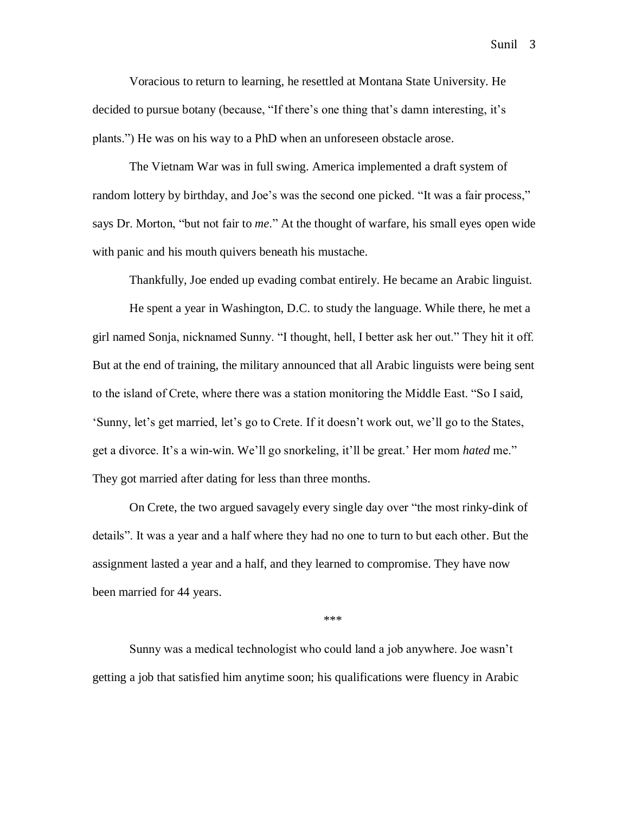Voracious to return to learning, he resettled at Montana State University. He decided to pursue botany (because, "If there's one thing that's damn interesting, it's plants.") He was on his way to a PhD when an unforeseen obstacle arose.

The Vietnam War was in full swing. America implemented a draft system of random lottery by birthday, and Joe's was the second one picked. "It was a fair process," says Dr. Morton, "but not fair to *me*." At the thought of warfare, his small eyes open wide with panic and his mouth quivers beneath his mustache.

Thankfully, Joe ended up evading combat entirely. He became an Arabic linguist.

He spent a year in Washington, D.C. to study the language. While there, he met a girl named Sonja, nicknamed Sunny. "I thought, hell, I better ask her out." They hit it off. But at the end of training, the military announced that all Arabic linguists were being sent to the island of Crete, where there was a station monitoring the Middle East. "So I said, 'Sunny, let's get married, let's go to Crete. If it doesn't work out, we'll go to the States, get a divorce. It's a win-win. We'll go snorkeling, it'll be great.' Her mom *hated* me." They got married after dating for less than three months.

On Crete, the two argued savagely every single day over "the most rinky-dink of details". It was a year and a half where they had no one to turn to but each other. But the assignment lasted a year and a half, and they learned to compromise. They have now been married for 44 years.

\*\*\*

Sunny was a medical technologist who could land a job anywhere. Joe wasn't getting a job that satisfied him anytime soon; his qualifications were fluency in Arabic

Sunil 3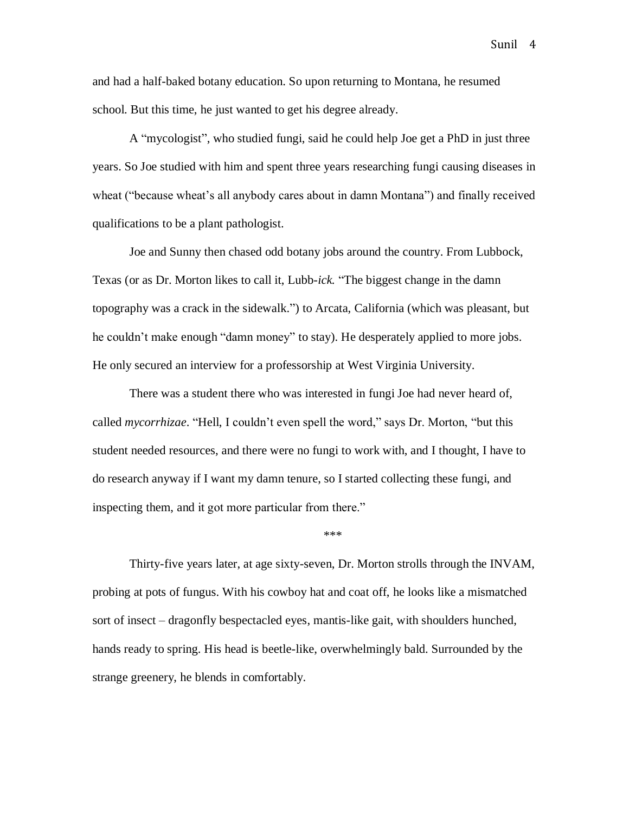and had a half-baked botany education. So upon returning to Montana, he resumed school. But this time, he just wanted to get his degree already.

A "mycologist", who studied fungi, said he could help Joe get a PhD in just three years. So Joe studied with him and spent three years researching fungi causing diseases in wheat ("because wheat's all anybody cares about in damn Montana") and finally received qualifications to be a plant pathologist.

Joe and Sunny then chased odd botany jobs around the country. From Lubbock, Texas (or as Dr. Morton likes to call it, Lubb-*ick.* "The biggest change in the damn topography was a crack in the sidewalk.") to Arcata, California (which was pleasant, but he couldn't make enough "damn money" to stay). He desperately applied to more jobs. He only secured an interview for a professorship at West Virginia University.

There was a student there who was interested in fungi Joe had never heard of, called *mycorrhizae*. "Hell, I couldn't even spell the word," says Dr. Morton, "but this student needed resources, and there were no fungi to work with, and I thought, I have to do research anyway if I want my damn tenure, so I started collecting these fungi, and inspecting them, and it got more particular from there."

\*\*\*

Thirty-five years later, at age sixty-seven, Dr. Morton strolls through the INVAM, probing at pots of fungus. With his cowboy hat and coat off, he looks like a mismatched sort of insect – dragonfly bespectacled eyes, mantis-like gait, with shoulders hunched, hands ready to spring. His head is beetle-like, overwhelmingly bald. Surrounded by the strange greenery, he blends in comfortably.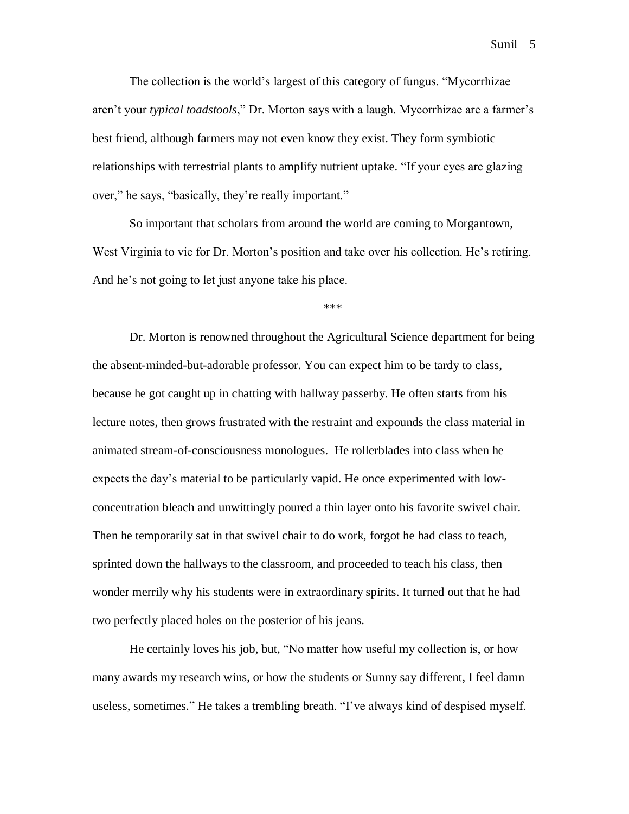The collection is the world's largest of this category of fungus. "Mycorrhizae aren't your *typical toadstools*," Dr. Morton says with a laugh. Mycorrhizae are a farmer's best friend, although farmers may not even know they exist. They form symbiotic relationships with terrestrial plants to amplify nutrient uptake. "If your eyes are glazing over," he says, "basically, they're really important."

So important that scholars from around the world are coming to Morgantown, West Virginia to vie for Dr. Morton's position and take over his collection. He's retiring. And he's not going to let just anyone take his place.

Dr. Morton is renowned throughout the Agricultural Science department for being the absent-minded-but-adorable professor. You can expect him to be tardy to class, because he got caught up in chatting with hallway passerby. He often starts from his lecture notes, then grows frustrated with the restraint and expounds the class material in animated stream-of-consciousness monologues. He rollerblades into class when he expects the day's material to be particularly vapid. He once experimented with lowconcentration bleach and unwittingly poured a thin layer onto his favorite swivel chair. Then he temporarily sat in that swivel chair to do work, forgot he had class to teach, sprinted down the hallways to the classroom, and proceeded to teach his class, then wonder merrily why his students were in extraordinary spirits. It turned out that he had two perfectly placed holes on the posterior of his jeans.

He certainly loves his job, but, "No matter how useful my collection is, or how many awards my research wins, or how the students or Sunny say different, I feel damn useless, sometimes." He takes a trembling breath. "I've always kind of despised myself.

Sunil 5

\*\*\*